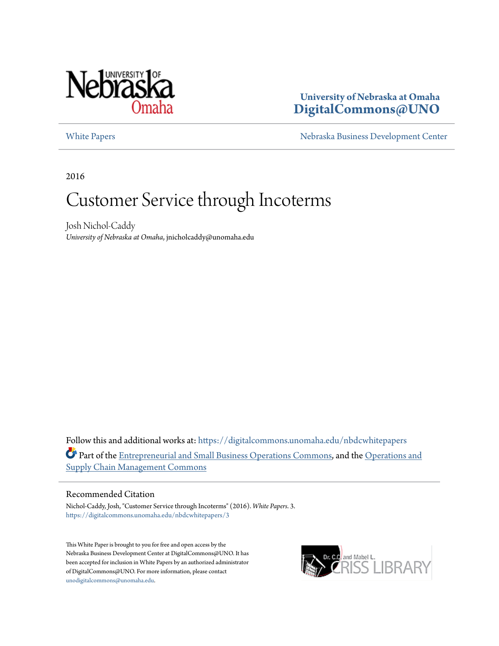

## **University of Nebraska at Omaha [DigitalCommons@UNO](https://digitalcommons.unomaha.edu?utm_source=digitalcommons.unomaha.edu%2Fnbdcwhitepapers%2F3&utm_medium=PDF&utm_campaign=PDFCoverPages)**

[White Papers](https://digitalcommons.unomaha.edu/nbdcwhitepapers?utm_source=digitalcommons.unomaha.edu%2Fnbdcwhitepapers%2F3&utm_medium=PDF&utm_campaign=PDFCoverPages) **[Nebraska Business Development Center](https://digitalcommons.unomaha.edu/nbdc?utm_source=digitalcommons.unomaha.edu%2Fnbdcwhitepapers%2F3&utm_medium=PDF&utm_campaign=PDFCoverPages)** 

2016

# Customer Service through Incoterms

Josh Nichol-Caddy *University of Nebraska at Omaha*, jnicholcaddy@unomaha.edu

Follow this and additional works at: [https://digitalcommons.unomaha.edu/nbdcwhitepapers](https://digitalcommons.unomaha.edu/nbdcwhitepapers?utm_source=digitalcommons.unomaha.edu%2Fnbdcwhitepapers%2F3&utm_medium=PDF&utm_campaign=PDFCoverPages) Part of the [Entrepreneurial and Small Business Operations Commons](http://network.bepress.com/hgg/discipline/630?utm_source=digitalcommons.unomaha.edu%2Fnbdcwhitepapers%2F3&utm_medium=PDF&utm_campaign=PDFCoverPages), and the [Operations and](http://network.bepress.com/hgg/discipline/1229?utm_source=digitalcommons.unomaha.edu%2Fnbdcwhitepapers%2F3&utm_medium=PDF&utm_campaign=PDFCoverPages) [Supply Chain Management Commons](http://network.bepress.com/hgg/discipline/1229?utm_source=digitalcommons.unomaha.edu%2Fnbdcwhitepapers%2F3&utm_medium=PDF&utm_campaign=PDFCoverPages)

#### Recommended Citation

Nichol-Caddy, Josh, "Customer Service through Incoterms" (2016). *White Papers*. 3. [https://digitalcommons.unomaha.edu/nbdcwhitepapers/3](https://digitalcommons.unomaha.edu/nbdcwhitepapers/3?utm_source=digitalcommons.unomaha.edu%2Fnbdcwhitepapers%2F3&utm_medium=PDF&utm_campaign=PDFCoverPages)

This White Paper is brought to you for free and open access by the Nebraska Business Development Center at DigitalCommons@UNO. It has been accepted for inclusion in White Papers by an authorized administrator of DigitalCommons@UNO. For more information, please contact [unodigitalcommons@unomaha.edu](mailto:unodigitalcommons@unomaha.edu).

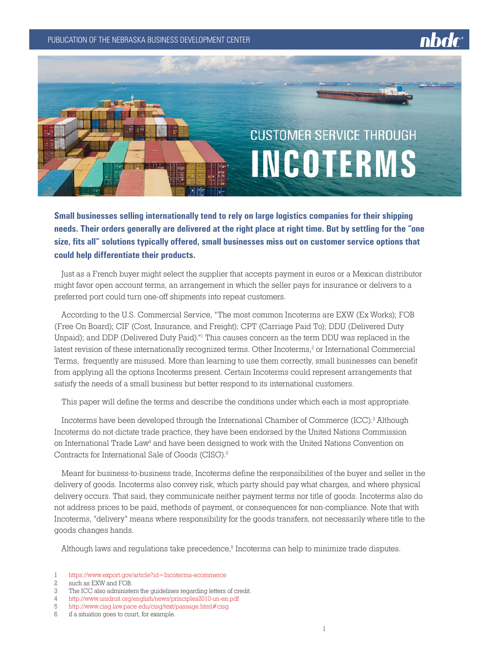PUBLICATION OF THE NEBRASKA BUSINESS DEVELOPMENT CENTER



**Small businesses selling internationally tend to rely on large logistics companies for their shipping needs. Their orders generally are delivered at the right place at right time. But by settling for the "one size, fits all" solutions typically offered, small businesses miss out on customer service options that could help differentiate their products.**

Just as a French buyer might select the supplier that accepts payment in euros or a Mexican distributor might favor open account terms, an arrangement in which the seller pays for insurance or delivers to a preferred port could turn one-off shipments into repeat customers.

According to the U.S. Commercial Service, "The most common Incoterms are EXW (Ex Works); FOB (Free On Board); CIF (Cost, Insurance, and Freight); CPT (Carriage Paid To); DDU (Delivered Duty Unpaid); and DDP (Delivered Duty Paid)."<sup>1</sup> This causes concern as the term DDU was replaced in the latest revision of these internationally recognized terms. Other Incoterms, $^2$  or International Commercial Terms, frequently are misused. More than learning to use them correctly, small businesses can benefit from applying all the options Incoterms present. Certain Incoterms could represent arrangements that satisfy the needs of a small business but better respond to its international customers.

This paper will define the terms and describe the conditions under which each is most appropriate.

Incoterms have been developed through the International Chamber of Commerce (ICC).<sup>3</sup> Although Incoterms do not dictate trade practice, they have been endorsed by the United Nations Commission on International Trade Law4 and have been designed to work with the United Nations Convention on Contracts for International Sale of Goods (CISG).5

Meant for business-to-business trade, Incoterms define the responsibilities of the buyer and seller in the delivery of goods. Incoterms also convey risk, which party should pay what charges, and where physical delivery occurs. That said, they communicate neither payment terms nor title of goods. Incoterms also do not address prices to be paid, methods of payment, or consequences for non-compliance. Note that with Incoterms, "delivery" means where responsibility for the goods transfers, not necessarily where title to the goods changes hands.

Although laws and regulations take precedence,<sup>6</sup> Incoterms can help to minimize trade disputes.

<sup>1</sup> <https://www.export.gov/article?id=Incoterms-ecommerce>

<sup>2</sup> such as EXW and FOB.

<sup>3</sup> The ICC also administers the guidelines regarding letters of credit.

<sup>4</sup> <http://www.unidroit.org/english/news/principles2010-un-en.pdf>

<sup>5</sup> http://www.cisg.law.pace.edu/cisg/text/passage.html#cisg

<sup>6</sup> if a situation goes to court, for example.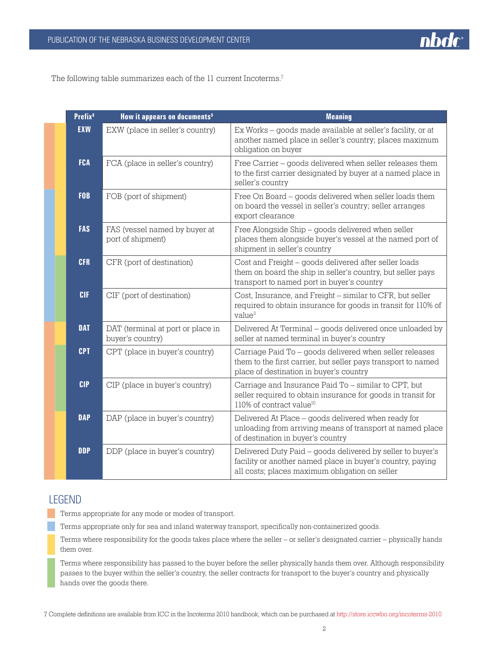

The following table summarizes each of the 11 current Incoterms.<sup>7</sup>

| Prefix <sup>8</sup> | How it appears on documents <sup>9</sup>              | <b>Meaning</b>                                                                                                                                                             |
|---------------------|-------------------------------------------------------|----------------------------------------------------------------------------------------------------------------------------------------------------------------------------|
| <b>EXW</b>          | EXW (place in seller's country)                       | Ex Works – goods made available at seller's facility, or at<br>another named place in seller's country; places maximum<br>obligation on buyer                              |
| <b>FCA</b>          | FCA (place in seller's country)                       | Free Carrier - goods delivered when seller releases them<br>to the first carrier designated by buyer at a named place in<br>seller's country                               |
| <b>FOB</b>          | FOB (port of shipment)                                | Free On Board - goods delivered when seller loads them<br>on board the vessel in seller's country; seller arranges<br>export clearance                                     |
| <b>FAS</b>          | FAS (vessel named by buyer at<br>port of shipment)    | Free Alongside Ship - goods delivered when seller<br>places them alongside buyer's vessel at the named port of<br>shipment in seller's country                             |
| <b>CFR</b>          | CFR (port of destination)                             | Cost and Freight - goods delivered after seller loads<br>them on board the ship in seller's country, but seller pays<br>transport to named port in buyer's country         |
| <b>CIF</b>          | CIF (port of destination)                             | Cost, Insurance, and Freight – similar to CFR, but seller<br>required to obtain insurance for goods in transit for 110% of<br>value <sup>3</sup>                           |
| <b>DAT</b>          | DAT (terminal at port or place in<br>buyer's country) | Delivered At Terminal - goods delivered once unloaded by<br>seller at named terminal in buyer's country                                                                    |
| <b>CPT</b>          | CPT (place in buyer's country)                        | Carriage Paid To - goods delivered when seller releases<br>them to the first carrier, but seller pays transport to named<br>place of destination in buyer's country        |
| <b>CIP</b>          | CIP (place in buyer's country)                        | Carriage and Insurance Paid To - similar to CPT, but<br>seller required to obtain insurance for goods in transit for<br>110% of contract value <sup>10</sup>               |
| <b>DAP</b>          | DAP (place in buyer's country)                        | Delivered At Place - goods delivered when ready for<br>unloading from arriving means of transport at named place<br>of destination in buyer's country                      |
| <b>DDP</b>          | DDP (place in buyer's country)                        | Delivered Duty Paid - goods delivered by seller to buyer's<br>facility or another named place in buyer's country, paying<br>all costs; places maximum obligation on seller |

# LEGEND

Terms appropriate for any mode or modes of transport.

Terms appropriate only for sea and inland waterway transport, specifically non-containerized goods.

Terms where responsibility for the goods takes place where the seller – or seller's designated carrier – physically hands them over.

Terms where responsibility has passed to the buyer before the seller physically hands them over. Although responsibility passes to the buyer within the seller's country, the seller contracts for transport to the buyer's country and physically hands over the goods there.

7 Complete definitions are available from ICC in the Incoterms 2010 handbook, which can be purchased at<http://store.iccwbo.org/incoterms-2010>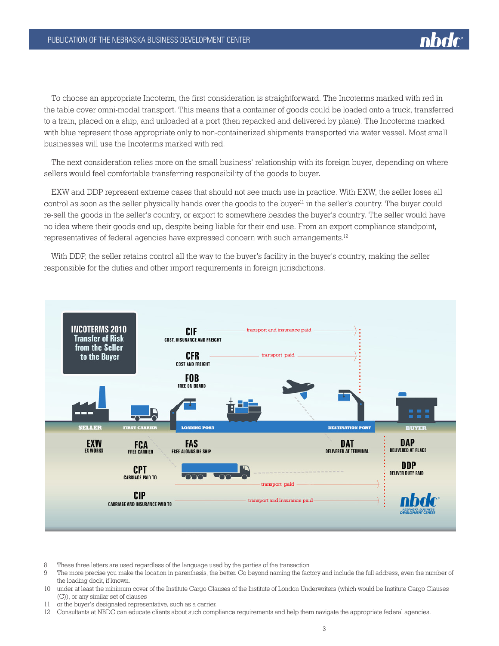

To choose an appropriate Incoterm, the first consideration is straightforward. The Incoterms marked with red in the table cover omni-modal transport. This means that a container of goods could be loaded onto a truck, transferred to a train, placed on a ship, and unloaded at a port (then repacked and delivered by plane). The Incoterms marked with blue represent those appropriate only to non-containerized shipments transported via water vessel. Most small businesses will use the Incoterms marked with red.

The next consideration relies more on the small business' relationship with its foreign buyer, depending on where sellers would feel comfortable transferring responsibility of the goods to buyer.

EXW and DDP represent extreme cases that should not see much use in practice. With EXW, the seller loses all control as soon as the seller physically hands over the goods to the buyer<sup>11</sup> in the seller's country. The buyer could re-sell the goods in the seller's country, or export to somewhere besides the buyer's country. The seller would have no idea where their goods end up, despite being liable for their end use. From an export compliance standpoint, representatives of federal agencies have expressed concern with such arrangements.<sup>12</sup>

With DDP, the seller retains control all the way to the buyer's facility in the buyer's country, making the seller responsible for the duties and other import requirements in foreign jurisdictions.



- 8 These three letters are used regardless of the language used by the parties of the transaction
- 9 The more precise you make the location in parenthesis, the better. Go beyond naming the factory and include the full address, even the number of the loading dock, if known.
- 10 under at least the minimum cover of the Institute Cargo Clauses of the Institute of London Underwriters (which would be Institute Cargo Clauses (C)), or any similar set of clauses
- 11 or the buyer's designated representative, such as a carrier.

12 Consultants at NBDC can educate clients about such compliance requirements and help them navigate the appropriate federal agencies.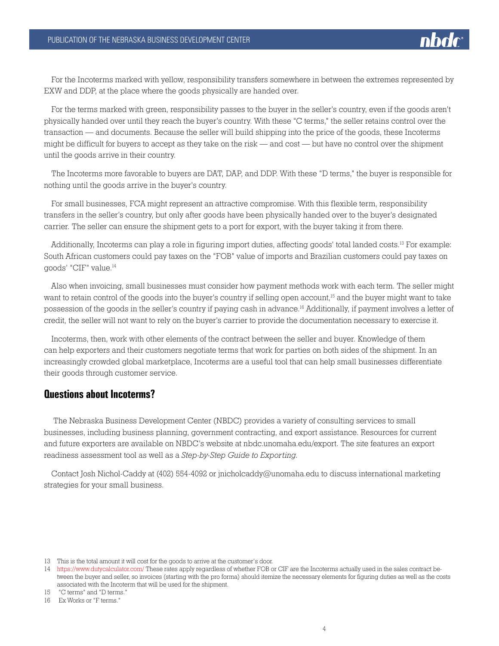

For the Incoterms marked with yellow, responsibility transfers somewhere in between the extremes represented by EXW and DDP, at the place where the goods physically are handed over.

For the terms marked with green, responsibility passes to the buyer in the seller's country, even if the goods aren't physically handed over until they reach the buyer's country. With these "C terms," the seller retains control over the transaction — and documents. Because the seller will build shipping into the price of the goods, these Incoterms might be difficult for buyers to accept as they take on the risk — and cost — but have no control over the shipment until the goods arrive in their country.

The Incoterms more favorable to buyers are DAT, DAP, and DDP. With these "D terms," the buyer is responsible for nothing until the goods arrive in the buyer's country.

For small businesses, FCA might represent an attractive compromise. With this flexible term, responsibility transfers in the seller's country, but only after goods have been physically handed over to the buyer's designated carrier. The seller can ensure the shipment gets to a port for export, with the buyer taking it from there.

Additionally, Incoterms can play a role in figuring import duties, affecting goods' total landed costs.<sup>13</sup> For example: South African customers could pay taxes on the "FOB" value of imports and Brazilian customers could pay taxes on goods' "CIF" value.14

Also when invoicing, small businesses must consider how payment methods work with each term. The seller might want to retain control of the goods into the buyer's country if selling open account.<sup>15</sup> and the buyer might want to take possession of the goods in the seller's country if paying cash in advance.16 Additionally, if payment involves a letter of credit, the seller will not want to rely on the buyer's carrier to provide the documentation necessary to exercise it.

Incoterms, then, work with other elements of the contract between the seller and buyer. Knowledge of them can help exporters and their customers negotiate terms that work for parties on both sides of the shipment. In an increasingly crowded global marketplace, Incoterms are a useful tool that can help small businesses differentiate their goods through customer service.

#### **Questions about Incoterms?**

 The Nebraska Business Development Center (NBDC) provides a variety of consulting services to small businesses, including business planning, government contracting, and export assistance. Resources for current and future exporters are available on NBDC's website at nbdc.unomaha.edu/export. The site features an export readiness assessment tool as well as a *Step-by-Step Guide to Exporting.*

Contact Josh Nichol-Caddy at (402) 554-4092 or jnicholcaddy@unomaha.edu to discuss international marketing strategies for your small business.

<sup>13</sup> This is the total amount it will cost for the goods to arrive at the customer's door.

<sup>14</sup> <https://www.dutycalculator.com/>These rates apply regardless of whether FOB or CIF are the Incoterms actually used in the sales contract between the buyer and seller, so invoices (starting with the pro forma) should itemize the necessary elements for figuring duties as well as the costs associated with the Incoterm that will be used for the shipment.

<sup>15 &</sup>quot;C terms" and "D terms."

<sup>16</sup> Ex Works or "F terms."